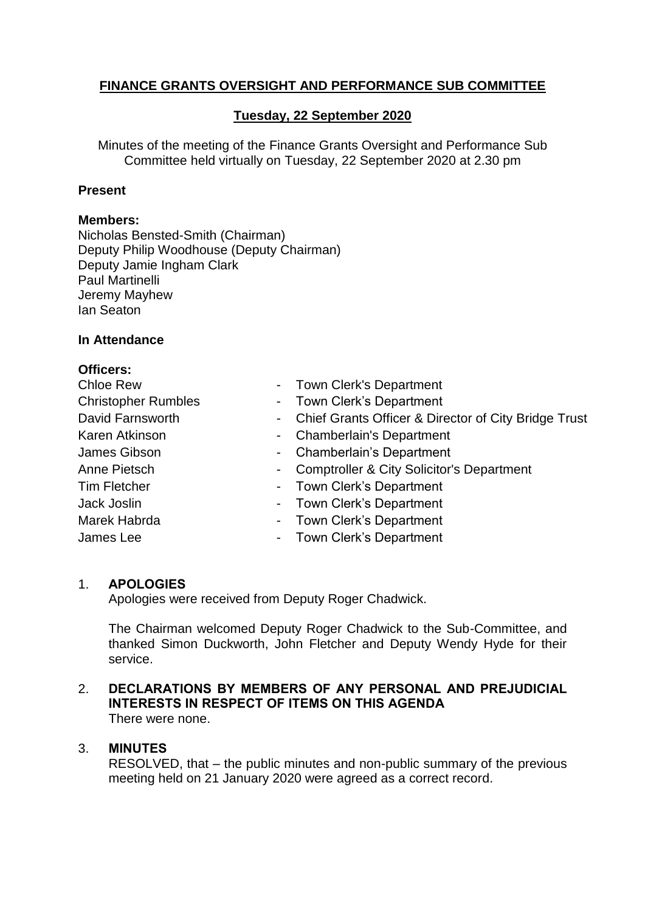# **FINANCE GRANTS OVERSIGHT AND PERFORMANCE SUB COMMITTEE**

# **Tuesday, 22 September 2020**

Minutes of the meeting of the Finance Grants Oversight and Performance Sub Committee held virtually on Tuesday, 22 September 2020 at 2.30 pm

### **Present**

### **Members:**

Nicholas Bensted-Smith (Chairman) Deputy Philip Woodhouse (Deputy Chairman) Deputy Jamie Ingham Clark Paul Martinelli Jeremy Mayhew Ian Seaton

#### **In Attendance**

| <b>Officers:</b>           |                                                                    |
|----------------------------|--------------------------------------------------------------------|
| <b>Chloe Rew</b>           | - Town Clerk's Department                                          |
| <b>Christopher Rumbles</b> | - Town Clerk's Department                                          |
| David Farnsworth           | Chief Grants Officer & Director of City Bridge Trust<br>$\sim 100$ |
| Karen Atkinson             | - Chamberlain's Department                                         |
| James Gibson               | - Chamberlain's Department                                         |
| Anne Pietsch               | <b>Comptroller &amp; City Solicitor's Department</b><br>$\sim$     |
| Tim Fletcher               | - Town Clerk's Department                                          |
| Jack Joslin                | - Town Clerk's Department                                          |
| Marek Habrda               | - Town Clerk's Department                                          |
| James Lee                  | - Town Clerk's Department                                          |

# 1. **APOLOGIES**

Apologies were received from Deputy Roger Chadwick.

The Chairman welcomed Deputy Roger Chadwick to the Sub-Committee, and thanked Simon Duckworth, John Fletcher and Deputy Wendy Hyde for their service.

# 2. **DECLARATIONS BY MEMBERS OF ANY PERSONAL AND PREJUDICIAL INTERESTS IN RESPECT OF ITEMS ON THIS AGENDA**

There were none.

# 3. **MINUTES**

RESOLVED, that – the public minutes and non-public summary of the previous meeting held on 21 January 2020 were agreed as a correct record.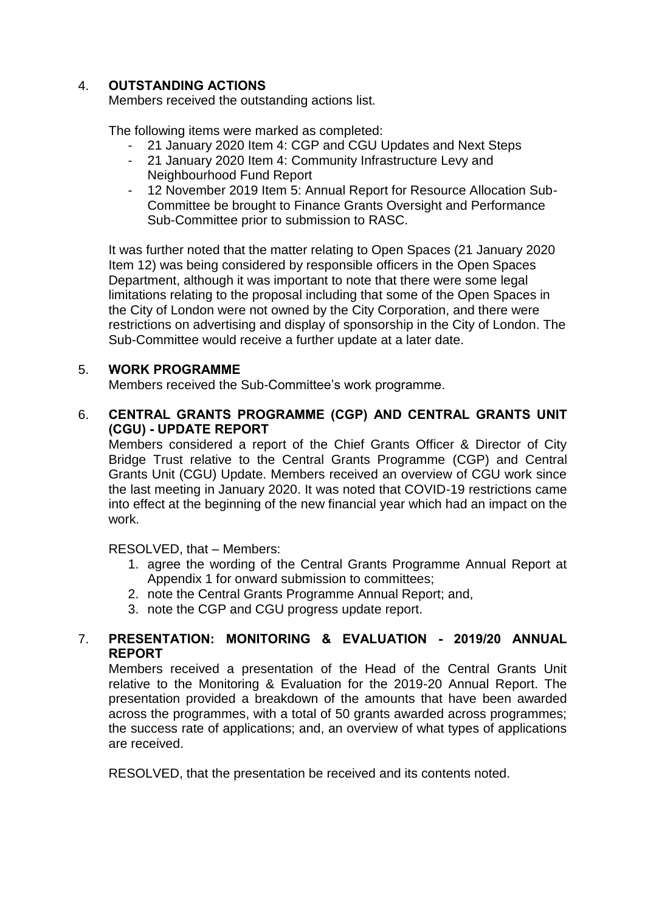# 4. **OUTSTANDING ACTIONS**

Members received the outstanding actions list.

The following items were marked as completed:

- 21 January 2020 Item 4: CGP and CGU Updates and Next Steps
- 21 January 2020 Item 4: Community Infrastructure Levy and Neighbourhood Fund Report
- 12 November 2019 Item 5: Annual Report for Resource Allocation Sub-Committee be brought to Finance Grants Oversight and Performance Sub-Committee prior to submission to RASC.

It was further noted that the matter relating to Open Spaces (21 January 2020 Item 12) was being considered by responsible officers in the Open Spaces Department, although it was important to note that there were some legal limitations relating to the proposal including that some of the Open Spaces in the City of London were not owned by the City Corporation, and there were restrictions on advertising and display of sponsorship in the City of London. The Sub-Committee would receive a further update at a later date.

# 5. **WORK PROGRAMME**

Members received the Sub-Committee's work programme.

# 6. **CENTRAL GRANTS PROGRAMME (CGP) AND CENTRAL GRANTS UNIT (CGU) - UPDATE REPORT**

Members considered a report of the Chief Grants Officer & Director of City Bridge Trust relative to the Central Grants Programme (CGP) and Central Grants Unit (CGU) Update. Members received an overview of CGU work since the last meeting in January 2020. It was noted that COVID-19 restrictions came into effect at the beginning of the new financial year which had an impact on the work.

RESOLVED, that – Members:

- 1. agree the wording of the Central Grants Programme Annual Report at Appendix 1 for onward submission to committees;
- 2. note the Central Grants Programme Annual Report; and,
- 3. note the CGP and CGU progress update report.

# 7. **PRESENTATION: MONITORING & EVALUATION - 2019/20 ANNUAL REPORT**

Members received a presentation of the Head of the Central Grants Unit relative to the Monitoring & Evaluation for the 2019-20 Annual Report. The presentation provided a breakdown of the amounts that have been awarded across the programmes, with a total of 50 grants awarded across programmes; the success rate of applications; and, an overview of what types of applications are received.

RESOLVED, that the presentation be received and its contents noted.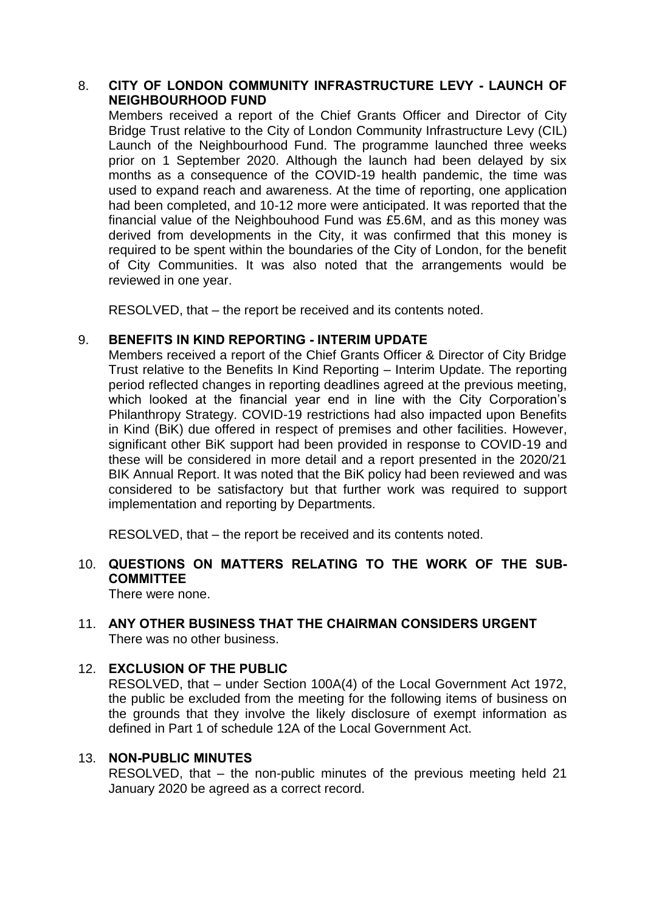# 8. **CITY OF LONDON COMMUNITY INFRASTRUCTURE LEVY - LAUNCH OF NEIGHBOURHOOD FUND**

Members received a report of the Chief Grants Officer and Director of City Bridge Trust relative to the City of London Community Infrastructure Levy (CIL) Launch of the Neighbourhood Fund. The programme launched three weeks prior on 1 September 2020. Although the launch had been delayed by six months as a consequence of the COVID-19 health pandemic, the time was used to expand reach and awareness. At the time of reporting, one application had been completed, and 10-12 more were anticipated. It was reported that the financial value of the Neighbouhood Fund was £5.6M, and as this money was derived from developments in the City, it was confirmed that this money is required to be spent within the boundaries of the City of London, for the benefit of City Communities. It was also noted that the arrangements would be reviewed in one year.

RESOLVED, that – the report be received and its contents noted.

#### 9. **BENEFITS IN KIND REPORTING - INTERIM UPDATE**

Members received a report of the Chief Grants Officer & Director of City Bridge Trust relative to the Benefits In Kind Reporting – Interim Update. The reporting period reflected changes in reporting deadlines agreed at the previous meeting, which looked at the financial year end in line with the City Corporation's Philanthropy Strategy. COVID-19 restrictions had also impacted upon Benefits in Kind (BiK) due offered in respect of premises and other facilities. However, significant other BiK support had been provided in response to COVID-19 and these will be considered in more detail and a report presented in the 2020/21 BIK Annual Report. It was noted that the BiK policy had been reviewed and was considered to be satisfactory but that further work was required to support implementation and reporting by Departments.

RESOLVED, that – the report be received and its contents noted.

# 10. **QUESTIONS ON MATTERS RELATING TO THE WORK OF THE SUB-COMMITTEE**

There were none.

# 11. **ANY OTHER BUSINESS THAT THE CHAIRMAN CONSIDERS URGENT** There was no other business.

# 12. **EXCLUSION OF THE PUBLIC**

RESOLVED, that – under Section 100A(4) of the Local Government Act 1972, the public be excluded from the meeting for the following items of business on the grounds that they involve the likely disclosure of exempt information as defined in Part 1 of schedule 12A of the Local Government Act.

#### 13. **NON-PUBLIC MINUTES**

RESOLVED, that – the non-public minutes of the previous meeting held 21 January 2020 be agreed as a correct record.